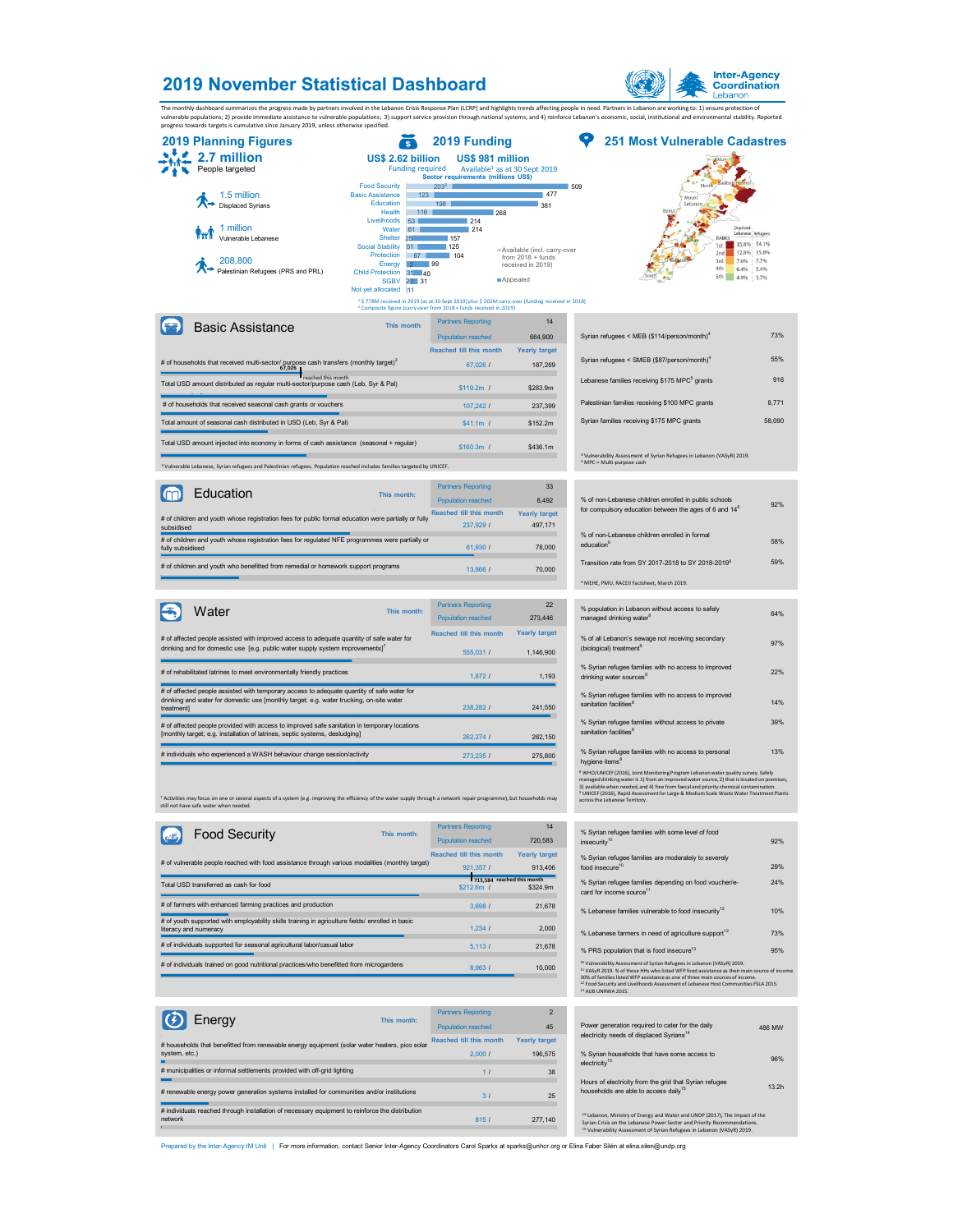## **2019 November Statistical Dashboard**



The monthly dashboard summarizes the progress made by partners involved in the Lebanon Crisis Response Plan (LCRP) and highlights trends affecting people in need. Partners in Lebanon are working to: 1) ensure protection of

|                  | progress towards targets is cumulative since January 2019, unless otherwise specified.                                               |                                                                                                                                          |                                                                          |                                                                                                               |                                                                                   |                        |
|------------------|--------------------------------------------------------------------------------------------------------------------------------------|------------------------------------------------------------------------------------------------------------------------------------------|--------------------------------------------------------------------------|---------------------------------------------------------------------------------------------------------------|-----------------------------------------------------------------------------------|------------------------|
|                  | <b>2019 Planning Figures</b>                                                                                                         |                                                                                                                                          | 2019 Funding                                                             |                                                                                                               | <b>251 Most Vulnerable Cadastres</b>                                              |                        |
|                  | 2.7 million<br>People targeted                                                                                                       | US\$ 2.62 billion<br><b>Funding required</b>                                                                                             | US\$ 981 million<br>Sector requirements (millions US\$)                  | Available <sup>1</sup> as at 30 Sept 2019                                                                     |                                                                                   |                        |
|                  | 1.5 million<br><b>Displaced Syrians</b>                                                                                              | <b>Food Security</b><br><b>Basic Assistance</b><br>$123 -$<br><b>Education</b><br>Health<br>116<br><b>Livelihoods</b><br>53 <sub>1</sub> | $203^2$<br>198<br>214                                                    | 477<br>381<br>268                                                                                             | 509<br>Mount<br>Lebano<br>Beirut                                                  |                        |
|                  | 1 million<br>Vulnerable Lebanese                                                                                                     | Water<br>61<br><b>Shelter</b><br><b>Social Stability</b><br>51<br>Protection                                                             | 214<br>157<br>125<br>104                                                 | Available (incl. carry-over<br>from $2018 + f$ unds                                                           | Deprived<br>Lebanese Refugees<br>RANKS<br>35.8% 54.1%<br>1st<br>12.8%<br>2nd      | 15.8%                  |
|                  | 208.800<br>Palestinian Refugees (PRS and PRL)                                                                                        | Energy<br><b>Child Protection</b><br>$31 - 40$<br><b>SGBV</b><br>$20 - 31$<br>Not yet allocated 11                                       | 99                                                                       | received in 2019)<br>Appealed                                                                                 | 3rd<br>7.6%<br>4th<br>6.4%<br>5th<br>4.9%                                         | 7.7%<br>5.4%<br>1 3.7% |
|                  |                                                                                                                                      | <sup>2</sup> Composite figure (carry-over from 2018 + funds received in 2019)                                                            |                                                                          | <sup>1</sup> \$ 778M received in 2019 (as at 30 Sept 2019) plus \$ 202M carry-over (funding received in 2018) |                                                                                   |                        |
|                  | <b>Basic Assistance</b>                                                                                                              | This month:                                                                                                                              | <b>Partners Reporting</b><br><b>Population reached</b>                   | 14<br>664,900                                                                                                 | Syrian refugees < MEB (\$114/person/month) <sup>4</sup>                           | 73%                    |
|                  |                                                                                                                                      |                                                                                                                                          | <b>Reached till this month</b>                                           | <b>Yearly target</b>                                                                                          |                                                                                   |                        |
|                  | # of households that received multi-sector/ purpose cash transfers (monthly target) <sup>3</sup><br>67,026                           |                                                                                                                                          | 67.026 /                                                                 | 187,269                                                                                                       | Syrian refugees < SMEB (\$87/person/month) <sup>4</sup>                           | 55%                    |
|                  | reached this month<br>Total USD amount distributed as regular multi-sector/purpose cash (Leb, Syr & Pal)                             |                                                                                                                                          | $$119.2m$ /                                                              | \$283.9m                                                                                                      | Lebanese families receiving \$175 MPC <sup>5</sup> grants                         | 916                    |
|                  | # of households that received seasonal cash grants or vouchers                                                                       |                                                                                                                                          | 107.242 /                                                                | 237,399                                                                                                       | Palestinian families receiving \$100 MPC grants                                   | 8.771                  |
|                  | Total amount of seasonal cash distributed in USD (Leb, Syr & Pal)                                                                    |                                                                                                                                          | $$41.1m$ /                                                               | \$152.2m                                                                                                      | Syrian families receiving \$175 MPC grants                                        | 58.090                 |
|                  | Total USD amount injected into economy in forms of cash assistance (seasonal + regular)                                              |                                                                                                                                          | $$160.3m$ /                                                              | \$436.1m                                                                                                      | <sup>4</sup> Vulnerability Assessment of Syrian Refugees in Lebanon (VASyR) 2019. |                        |
|                  | <sup>3</sup> Vulnerable Lebanese, Syrian refugees and Palestinian refugees. Population reached includes families targeted by UNICEF. |                                                                                                                                          |                                                                          |                                                                                                               | <sup>5</sup> MPC = Multi-purpose cash                                             |                        |
|                  | Education                                                                                                                            | This month:                                                                                                                              | <b>Partners Reporting</b>                                                | 33                                                                                                            | % of non-Lebanese children enrolled in public schools                             |                        |
| subsidised       | # of children and youth whose registration fees for public formal education were partially or fully                                  |                                                                                                                                          | <b>Population reached</b><br><b>Reached till this month</b><br>237.929 / | 8.492<br><b>Yearly target</b><br>497.171                                                                      | for compulsory education between the ages of 6 and 14°                            | 92%                    |
| fully subsidised | # of children and youth whose registration fees for regulated NFE programmes were partially or                                       |                                                                                                                                          | 61.930 /                                                                 | 78,000                                                                                                        | % of non-Lebanese children enrolled in formal<br>education <sup>6</sup>           | 58%                    |

13,866 / 70,000

| Water<br>This month:                                                                                                                                                                  | <b>Partners Reporting</b> | 22                   |
|---------------------------------------------------------------------------------------------------------------------------------------------------------------------------------------|---------------------------|----------------------|
|                                                                                                                                                                                       | Population reached        | 273,446              |
| # of affected people assisted with improved access to adequate quantity of safe water for                                                                                             | Reached fill this month   | <b>Yearly target</b> |
| drinking and for domestic use [e.g. public water supply system improvements] <sup>7</sup>                                                                                             | 555,031 /                 | 1.146.900            |
|                                                                                                                                                                                       |                           |                      |
| # of rehabilitated latrines to meet environmentally friendly practices                                                                                                                | 1.8721                    | 1.193                |
| # of affected people assisted with temporary access to adequate quantity of safe water for<br>drinking and water for domestic use [monthly target; e.g. water trucking, on-site water |                           |                      |
| treatment]                                                                                                                                                                            | 238,282 /                 | 241,550              |
| # of affected people provided with access to improved safe sanitation in temporary locations                                                                                          |                           |                      |
| [monthly target; e.g. installation of latrines, septic systems, desludging]                                                                                                           | 262.274 /                 | 262,150              |
| # individuals who experienced a WASH behaviour change session/activity                                                                                                                | 273.235 /                 | 275,800              |
|                                                                                                                                                                                       |                           |                      |

<sup>7</sup> Activities may focus on one or several aspects of a system (e.g. improving the efficiency of the water supply through a network repair programme), but households may<br>still not have safe water when needed.

**This month:**

|            |                      | % of non-Lebanese children enrolled in formal                                                 |  |
|------------|----------------------|-----------------------------------------------------------------------------------------------|--|
| 1.930 I    | 78,000               | education <sup>6</sup>                                                                        |  |
| 3.866 /    | 70,000               | Transition rate from SY 2017-2018 to SY 2018-2019 <sup>6</sup>                                |  |
|            |                      | <sup>6</sup> MEHE, PMU, RACEII Factsheet, March 2019.                                         |  |
| eportina   | 22                   |                                                                                               |  |
| reached    | 273,446              | % population in Lebanon without access to safely<br>managed drinking water <sup>8</sup>       |  |
| this month | <b>Yearly target</b> | % of all Lebanon's sewage not receiving secondary                                             |  |
| 5.031/     | 1.146.900            | (biological) treatment <sup>9</sup>                                                           |  |
|            |                      | % Syrian refugee families with no access to improved                                          |  |
| 1.8721     | 1,193                | drinking water sources <sup>8</sup>                                                           |  |
| 8.2821     | 241.550              | % Syrian refugee families with no access to improved<br>sanitation facilities <sup>8</sup>    |  |
|            |                      | % Syrian refugee families without access to private                                           |  |
| 2.2741     | 262,150              | sanitation facilities <sup>8</sup>                                                            |  |
| 3,235/     | 275,800              | % Syrian refugee families with no access to personal<br>hygiene items <sup>8</sup>            |  |
|            |                      | <sup>8</sup> WHO/UNICEF (2016). Joint Monitoring Program Lebanon water quality survey. Safely |  |

hy<br>« <sup>a</sup> WhO/UNICEF (2016), Joint Monitoring Program Lebanon water quality survey. Safely<br>managed drinking water is 1) from an improved water source, 2) that is located on premises.<br>3) available when needed, and 4) free from fa

| <b>Partners Reporting</b><br>Population reached | 14<br>720.583                   | % Syrian refugee families with some level of food<br>insecurity <sup>10</sup>                                                                                                                                                                                                                                                                                                                                    | 92%           |
|-------------------------------------------------|---------------------------------|------------------------------------------------------------------------------------------------------------------------------------------------------------------------------------------------------------------------------------------------------------------------------------------------------------------------------------------------------------------------------------------------------------------|---------------|
| Reached fill this month<br>921.357 /            | <b>Yearly target</b><br>913.406 | % Syrian refugee families are moderately to severely<br>food insecure <sup>10</sup>                                                                                                                                                                                                                                                                                                                              | 29%           |
| 715.584 reached this month<br>$$212.6m$ /       | \$324.9m                        | % Syrian refugee families depending on food voucher/e-<br>card for income source <sup>11</sup>                                                                                                                                                                                                                                                                                                                   | 24%           |
| 3.698/                                          | 21.678                          | % Lebanese families vulnerable to food insecurity <sup>12</sup>                                                                                                                                                                                                                                                                                                                                                  | 10%           |
| 1.234/                                          | 2,000                           | % Lebanese farmers in need of agriculture support <sup>12</sup>                                                                                                                                                                                                                                                                                                                                                  | 73%           |
| 5,1131                                          | 21,678                          | % PRS population that is food insecure <sup>13</sup>                                                                                                                                                                                                                                                                                                                                                             | 95%           |
| 8.963/                                          | 10,000                          | <sup>10</sup> Vulnerability Assessment of Syrian Refugees in Lebanon (VASyR) 2019.<br><sup>11</sup> VASvR 2019. % of those HHs who listed WFP food assistance as their main source of income.<br>30% of families listed WFP assistance as one of three main sources of income.<br><sup>12</sup> Food Security and Livelihoods Assessment of Lebanese Host Communities FSLA 2015.<br><sup>13</sup> AUR UNRWA 2015 |               |
|                                                 |                                 |                                                                                                                                                                                                                                                                                                                                                                                                                  |               |
| <b>Partners Reporting</b>                       | $\overline{2}$                  |                                                                                                                                                                                                                                                                                                                                                                                                                  |               |
| Population reached                              | 45                              | Power generation required to cater for the daily<br>electricity needs of displaced Syrians <sup>14</sup>                                                                                                                                                                                                                                                                                                         | <b>486 MW</b> |
| <b>Reached till this month</b>                  | <b>Yearly target</b>            |                                                                                                                                                                                                                                                                                                                                                                                                                  |               |
| 2000l                                           | 196 575                         | % Syrian households that have some access to                                                                                                                                                                                                                                                                                                                                                                     |               |

| % Syrian households that have some access to<br>electricity <sup>15</sup>                                   | 96%   |  |
|-------------------------------------------------------------------------------------------------------------|-------|--|
| Hours of electricity from the grid that Syrian refugee<br>households are able to access daily <sup>15</sup> | 13.2h |  |
| <sup>14</sup> Lebanon, Ministry of Energy and Water and UNDP (2017). The Impact of the                      |       |  |

14 Lebanon, Ministry of Energy and Water and UNDP (2017), The Impact of the<br>Syrian Crisis on the Lebanese Power Sector and Priority Recommendations.<br>15 Vulnerability Assessment of Syrian Refugees in Lebanon (VASyR) 2019.

| # of individuals supported for seasonal agricultural labor/casual labor                 |             | 5.113/                    | 21.678 | % PRS population that is food insecure <sup>13</sup>                                                                                                   |  |
|-----------------------------------------------------------------------------------------|-------------|---------------------------|--------|--------------------------------------------------------------------------------------------------------------------------------------------------------|--|
| # of individuals trained on good nutritional practices/who benefitted from microgardens |             | 8.963/                    | 10,000 | <sup>10</sup> Vulnerability Assessment of Syrian Refugees in Le<br><sup>11</sup> VASvR 2019. % of those HHs who listed WFP foor                        |  |
|                                                                                         |             |                           |        | 30% of families listed WFP assistance as one of thre<br><sup>12</sup> Food Security and Livelihoods Assessment of Leb<br><sup>13</sup> AUB UNRWA 2015. |  |
|                                                                                         |             |                           |        |                                                                                                                                                        |  |
| $ \mathfrak{C}\>$<br>Energy                                                             | This month: | <b>Partners Reporting</b> |        |                                                                                                                                                        |  |
|                                                                                         |             | Population reached        | 45     | Power generation required to cater for the                                                                                                             |  |

**Extending**<br># of farmers with enhanced farming practices and production

Total USD transferred as cash for food

 $e^{i\theta}$ 

Food Security

# of vulnerable people reached with food assistance through various modalities (monthly target)

# of children and youth who benefitted from remedial or homework support programs

# of youth supported with employability skills training in agriculture fields/ enrolled in basic literacy and numeracy 62%

| I V 70<br>------                                                                                | Population reached             | 45                   |
|-------------------------------------------------------------------------------------------------|--------------------------------|----------------------|
| # households that benefitted from renewable energy equipment (solar water heaters, pico solar   | <b>Reached till this month</b> | <b>Yearly target</b> |
| system, etc.)<br>▬                                                                              | 2.0001                         | 196.575              |
| # municipalities or informal settlements provided with off-grid lighting                        | 11                             | 38                   |
|                                                                                                 |                                |                      |
| # renewable energy power generation systems installed for communities and/or institutions       | 3 <sub>1</sub>                 | 25                   |
| # individuals reached through installation of necessary equipment to reinforce the distribution |                                |                      |
| network                                                                                         | 815/                           | 277.140              |
|                                                                                                 |                                |                      |

Prepared by the Inter-Agency IM Unit | For more information, contact Senior Inter-Agency Coordinators Carol Sparks at sparks@unhcr.org or Elina Faber Silén at elina.silen@undp.org